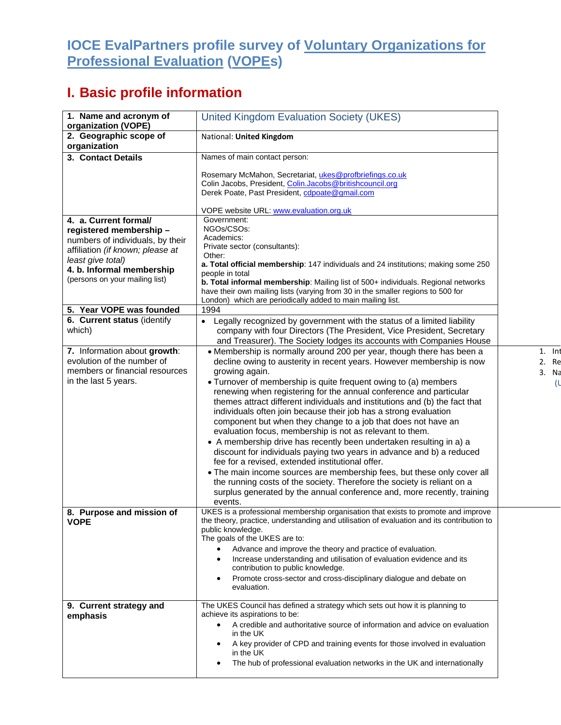## **IOCE EvalPartners profile survey of Voluntary Organizations for Professional Evaluation (VOPEs)**

## **I. Basic profile information**

| 1. Name and acronym of                                       | <b>United Kingdom Evaluation Society (UKES)</b>                                                                                               |          |
|--------------------------------------------------------------|-----------------------------------------------------------------------------------------------------------------------------------------------|----------|
| organization (VOPE)                                          |                                                                                                                                               |          |
| 2. Geographic scope of                                       | National: United Kingdom                                                                                                                      |          |
| organization                                                 |                                                                                                                                               |          |
| 3. Contact Details                                           | Names of main contact person:                                                                                                                 |          |
|                                                              | Rosemary McMahon, Secretariat, ukes@profbriefings.co.uk                                                                                       |          |
|                                                              | Colin Jacobs, President, Colin.Jacobs@britishcouncil.org                                                                                      |          |
|                                                              | Derek Poate, Past President, cdpoate@gmail.com                                                                                                |          |
|                                                              | VOPE website URL: www.evaluation.org.uk                                                                                                       |          |
| 4. a. Current formal/                                        | Government:                                                                                                                                   |          |
| registered membership-                                       | NGOs/CSOs:                                                                                                                                    |          |
| numbers of individuals, by their                             | Academics:                                                                                                                                    |          |
| affiliation (if known; please at                             | Private sector (consultants):<br>Other:                                                                                                       |          |
| least give total)                                            | a. Total official membership: 147 individuals and 24 institutions; making some 250                                                            |          |
| 4. b. Informal membership<br>(persons on your mailing list)  | people in total                                                                                                                               |          |
|                                                              | b. Total informal membership: Mailing list of 500+ individuals. Regional networks                                                             |          |
|                                                              | have their own mailing lists (varying from 30 in the smaller regions to 500 for<br>London) which are periodically added to main mailing list. |          |
| 5. Year VOPE was founded                                     | 1994                                                                                                                                          |          |
| 6. Current status (identify                                  | • Legally recognized by government with the status of a limited liability                                                                     |          |
| which)                                                       | company with four Directors (The President, Vice President, Secretary                                                                         |          |
|                                                              | and Treasurer). The Society lodges its accounts with Companies House                                                                          |          |
| 7. Information about growth:                                 | • Membership is normally around 200 per year, though there has been a                                                                         | $1.$ Int |
| evolution of the number of<br>members or financial resources | decline owing to austerity in recent years. However membership is now                                                                         | 2. Re    |
| in the last 5 years.                                         | growing again.<br>• Turnover of membership is quite frequent owing to (a) members                                                             | 3. Na    |
|                                                              | renewing when registering for the annual conference and particular                                                                            | (ા       |
|                                                              | themes attract different individuals and institutions and (b) the fact that                                                                   |          |
|                                                              | individuals often join because their job has a strong evaluation                                                                              |          |
|                                                              | component but when they change to a job that does not have an                                                                                 |          |
|                                                              | evaluation focus, membership is not as relevant to them.                                                                                      |          |
|                                                              | • A membership drive has recently been undertaken resulting in a) a                                                                           |          |
|                                                              | discount for individuals paying two years in advance and b) a reduced<br>fee for a revised, extended institutional offer.                     |          |
|                                                              | . The main income sources are membership fees, but these only cover all                                                                       |          |
|                                                              | the running costs of the society. Therefore the society is reliant on a                                                                       |          |
|                                                              | surplus generated by the annual conference and, more recently, training                                                                       |          |
|                                                              | events.                                                                                                                                       |          |
| 8. Purpose and mission of                                    | UKES is a professional membership organisation that exists to promote and improve                                                             |          |
| <b>VOPE</b>                                                  | the theory, practice, understanding and utilisation of evaluation and its contribution to<br>public knowledge.                                |          |
|                                                              | The goals of the UKES are to:                                                                                                                 |          |
|                                                              | Advance and improve the theory and practice of evaluation.                                                                                    |          |
|                                                              | Increase understanding and utilisation of evaluation evidence and its<br>٠                                                                    |          |
|                                                              | contribution to public knowledge.                                                                                                             |          |
|                                                              | Promote cross-sector and cross-disciplinary dialogue and debate on<br>٠<br>evaluation.                                                        |          |
|                                                              |                                                                                                                                               |          |
| 9. Current strategy and                                      | The UKES Council has defined a strategy which sets out how it is planning to                                                                  |          |
| emphasis                                                     | achieve its aspirations to be:                                                                                                                |          |
|                                                              | A credible and authoritative source of information and advice on evaluation<br>٠<br>in the UK                                                 |          |
|                                                              | A key provider of CPD and training events for those involved in evaluation<br>٠<br>in the UK                                                  |          |
|                                                              | The hub of professional evaluation networks in the UK and internationally<br>٠                                                                |          |
|                                                              |                                                                                                                                               |          |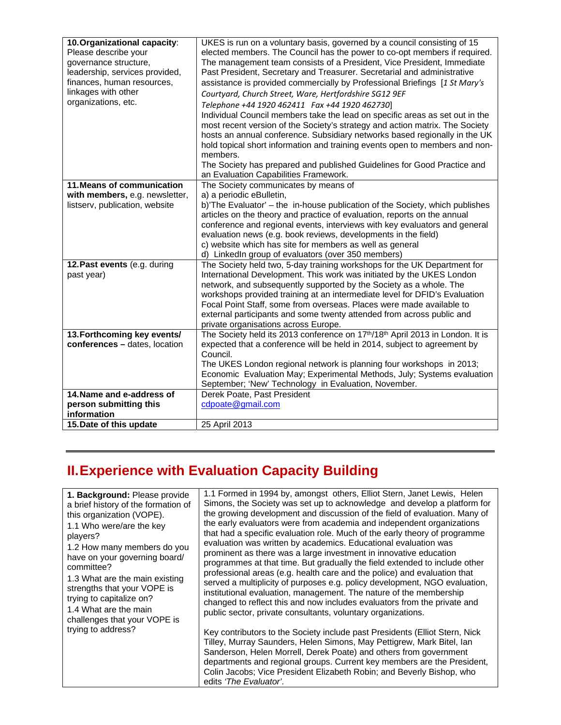| 10. Organizational capacity:<br>Please describe your<br>governance structure,<br>leadership, services provided,<br>finances, human resources,<br>linkages with other<br>organizations, etc. | UKES is run on a voluntary basis, governed by a council consisting of 15<br>elected members. The Council has the power to co-opt members if required.<br>The management team consists of a President, Vice President, Immediate<br>Past President, Secretary and Treasurer. Secretarial and administrative<br>assistance is provided commercially by Professional Briefings [1 St Mary's<br>Courtyard, Church Street, Ware, Hertfordshire SG12 9EF<br>Telephone +44 1920 462411 Fax +44 1920 462730]                                                                                                                                                |
|---------------------------------------------------------------------------------------------------------------------------------------------------------------------------------------------|-----------------------------------------------------------------------------------------------------------------------------------------------------------------------------------------------------------------------------------------------------------------------------------------------------------------------------------------------------------------------------------------------------------------------------------------------------------------------------------------------------------------------------------------------------------------------------------------------------------------------------------------------------|
|                                                                                                                                                                                             | Individual Council members take the lead on specific areas as set out in the<br>most recent version of the Society's strategy and action matrix. The Society<br>hosts an annual conference. Subsidiary networks based regionally in the UK<br>hold topical short information and training events open to members and non-<br>members.                                                                                                                                                                                                                                                                                                               |
|                                                                                                                                                                                             | The Society has prepared and published Guidelines for Good Practice and<br>an Evaluation Capabilities Framework.                                                                                                                                                                                                                                                                                                                                                                                                                                                                                                                                    |
| 11. Means of communication<br>with members, e.g. newsletter,<br>listserv, publication, website<br>12. Past events (e.g. during<br>past year)                                                | The Society communicates by means of<br>a) a periodic eBulletin,<br>b)'The Evaluator' – the in-house publication of the Society, which publishes<br>articles on the theory and practice of evaluation, reports on the annual<br>conference and regional events, interviews with key evaluators and general<br>evaluation news (e.g. book reviews, developments in the field)<br>c) website which has site for members as well as general<br>d) LinkedIn group of evaluators (over 350 members)<br>The Society held two, 5-day training workshops for the UK Department for<br>International Development. This work was initiated by the UKES London |
|                                                                                                                                                                                             | network, and subsequently supported by the Society as a whole. The<br>workshops provided training at an intermediate level for DFID's Evaluation<br>Focal Point Staff, some from overseas. Places were made available to<br>external participants and some twenty attended from across public and<br>private organisations across Europe.                                                                                                                                                                                                                                                                                                           |
| 13. Forthcoming key events/<br>conferences - dates, location                                                                                                                                | The Society held its 2013 conference on 17th/18th April 2013 in London. It is<br>expected that a conference will be held in 2014, subject to agreement by<br>Council.<br>The UKES London regional network is planning four workshops in 2013;<br>Economic Evaluation May; Experimental Methods, July; Systems evaluation<br>September; 'New' Technology in Evaluation, November.                                                                                                                                                                                                                                                                    |
| 14. Name and e-address of<br>person submitting this<br>information                                                                                                                          | Derek Poate, Past President<br>cdpoate@gmail.com                                                                                                                                                                                                                                                                                                                                                                                                                                                                                                                                                                                                    |
| 15. Date of this update                                                                                                                                                                     | 25 April 2013                                                                                                                                                                                                                                                                                                                                                                                                                                                                                                                                                                                                                                       |

## **II. Experience with Evaluation Capacity Building**

| 1. Background: Please provide       | 1.1 Formed in 1994 by, amongst others, Elliot Stern, Janet Lewis, Helen                                                                                                                                                                                                                                                  |
|-------------------------------------|--------------------------------------------------------------------------------------------------------------------------------------------------------------------------------------------------------------------------------------------------------------------------------------------------------------------------|
| a brief history of the formation of | Simons, the Society was set up to acknowledge and develop a platform for                                                                                                                                                                                                                                                 |
| this organization (VOPE).           | the growing development and discussion of the field of evaluation. Many of                                                                                                                                                                                                                                               |
| 1.1 Who were/are the key            | the early evaluators were from academia and independent organizations                                                                                                                                                                                                                                                    |
| players?                            | that had a specific evaluation role. Much of the early theory of programme                                                                                                                                                                                                                                               |
| 1.2 How many members do you         | evaluation was written by academics. Educational evaluation was                                                                                                                                                                                                                                                          |
| have on your governing board/       | prominent as there was a large investment in innovative education                                                                                                                                                                                                                                                        |
| committee?                          | programmes at that time. But gradually the field extended to include other                                                                                                                                                                                                                                               |
| 1.3 What are the main existing      | professional areas (e.g. health care and the police) and evaluation that                                                                                                                                                                                                                                                 |
| strengths that your VOPE is         | served a multiplicity of purposes e.g. policy development, NGO evaluation,                                                                                                                                                                                                                                               |
| trying to capitalize on?            | institutional evaluation, management. The nature of the membership                                                                                                                                                                                                                                                       |
| 1.4 What are the main               | changed to reflect this and now includes evaluators from the private and                                                                                                                                                                                                                                                 |
| challenges that your VOPE is        | public sector, private consultants, voluntary organizations.                                                                                                                                                                                                                                                             |
| trying to address?                  | Key contributors to the Society include past Presidents (Elliot Stern, Nick                                                                                                                                                                                                                                              |
|                                     | Tilley, Murray Saunders, Helen Simons, May Pettigrew, Mark Bitel, Ian<br>Sanderson, Helen Morrell, Derek Poate) and others from government<br>departments and regional groups. Current key members are the President,<br>Colin Jacobs; Vice President Elizabeth Robin; and Beverly Bishop, who<br>edits 'The Evaluator'. |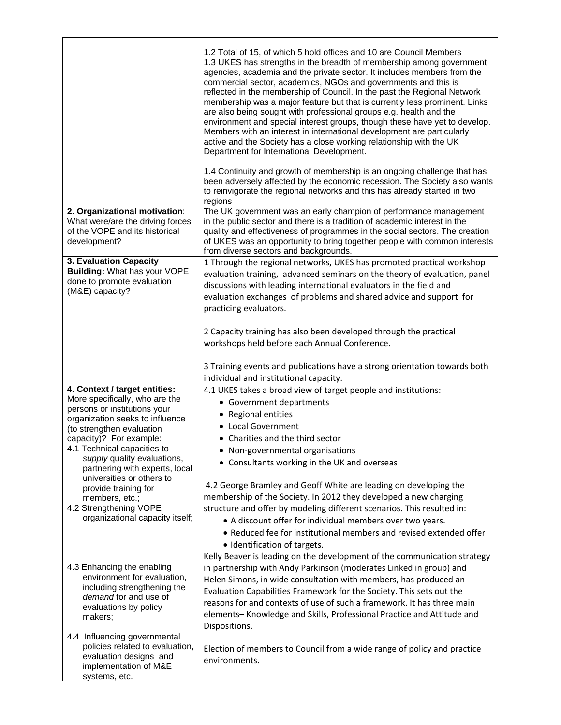|                                                                                                                                                                                                                                                                                                                         | 1.2 Total of 15, of which 5 hold offices and 10 are Council Members<br>1.3 UKES has strengths in the breadth of membership among government<br>agencies, academia and the private sector. It includes members from the<br>commercial sector, academics, NGOs and governments and this is<br>reflected in the membership of Council. In the past the Regional Network<br>membership was a major feature but that is currently less prominent. Links<br>are also being sought with professional groups e.g. health and the<br>environment and special interest groups, though these have yet to develop.<br>Members with an interest in international development are particularly<br>active and the Society has a close working relationship with the UK<br>Department for International Development.<br>1.4 Continuity and growth of membership is an ongoing challenge that has<br>been adversely affected by the economic recession. The Society also wants<br>to reinvigorate the regional networks and this has already started in two<br>regions |
|-------------------------------------------------------------------------------------------------------------------------------------------------------------------------------------------------------------------------------------------------------------------------------------------------------------------------|-------------------------------------------------------------------------------------------------------------------------------------------------------------------------------------------------------------------------------------------------------------------------------------------------------------------------------------------------------------------------------------------------------------------------------------------------------------------------------------------------------------------------------------------------------------------------------------------------------------------------------------------------------------------------------------------------------------------------------------------------------------------------------------------------------------------------------------------------------------------------------------------------------------------------------------------------------------------------------------------------------------------------------------------------------|
| 2. Organizational motivation:<br>What were/are the driving forces<br>of the VOPE and its historical<br>development?                                                                                                                                                                                                     | The UK government was an early champion of performance management<br>in the public sector and there is a tradition of academic interest in the<br>quality and effectiveness of programmes in the social sectors. The creation<br>of UKES was an opportunity to bring together people with common interests<br>from diverse sectors and backgrounds.                                                                                                                                                                                                                                                                                                                                                                                                                                                                                                                                                                                                                                                                                                   |
| 3. Evaluation Capacity<br>Building: What has your VOPE<br>done to promote evaluation<br>(M&E) capacity?                                                                                                                                                                                                                 | 1 Through the regional networks, UKES has promoted practical workshop<br>evaluation training, advanced seminars on the theory of evaluation, panel<br>discussions with leading international evaluators in the field and<br>evaluation exchanges of problems and shared advice and support for<br>practicing evaluators.<br>2 Capacity training has also been developed through the practical<br>workshops held before each Annual Conference.<br>3 Training events and publications have a strong orientation towards both                                                                                                                                                                                                                                                                                                                                                                                                                                                                                                                           |
|                                                                                                                                                                                                                                                                                                                         | individual and institutional capacity.                                                                                                                                                                                                                                                                                                                                                                                                                                                                                                                                                                                                                                                                                                                                                                                                                                                                                                                                                                                                                |
| 4. Context / target entities:<br>More specifically, who are the<br>persons or institutions your<br>organization seeks to influence<br>(to strengthen evaluation<br>capacity)? For example:<br>4.1 Technical capacities to<br>supply quality evaluations,<br>partnering with experts, local<br>universities or others to | 4.1 UKES takes a broad view of target people and institutions:<br>• Government departments<br>• Regional entities<br>• Local Government<br>• Charities and the third sector<br>• Non-governmental organisations<br>• Consultants working in the UK and overseas                                                                                                                                                                                                                                                                                                                                                                                                                                                                                                                                                                                                                                                                                                                                                                                       |
| provide training for<br>members, etc.;<br>4.2 Strengthening VOPE<br>organizational capacity itself;                                                                                                                                                                                                                     | 4.2 George Bramley and Geoff White are leading on developing the<br>membership of the Society. In 2012 they developed a new charging<br>structure and offer by modeling different scenarios. This resulted in:<br>• A discount offer for individual members over two years.<br>• Reduced fee for institutional members and revised extended offer<br>· Identification of targets.                                                                                                                                                                                                                                                                                                                                                                                                                                                                                                                                                                                                                                                                     |
| 4.3 Enhancing the enabling<br>environment for evaluation,<br>including strengthening the<br>demand for and use of<br>evaluations by policy<br>makers;                                                                                                                                                                   | Kelly Beaver is leading on the development of the communication strategy<br>in partnership with Andy Parkinson (moderates Linked in group) and<br>Helen Simons, in wide consultation with members, has produced an<br>Evaluation Capabilities Framework for the Society. This sets out the<br>reasons for and contexts of use of such a framework. It has three main<br>elements- Knowledge and Skills, Professional Practice and Attitude and<br>Dispositions.                                                                                                                                                                                                                                                                                                                                                                                                                                                                                                                                                                                       |
| 4.4 Influencing governmental<br>policies related to evaluation,<br>evaluation designs and<br>implementation of M&E<br>systems, etc.                                                                                                                                                                                     | Election of members to Council from a wide range of policy and practice<br>environments.                                                                                                                                                                                                                                                                                                                                                                                                                                                                                                                                                                                                                                                                                                                                                                                                                                                                                                                                                              |

 $\overline{\mathsf{I}}$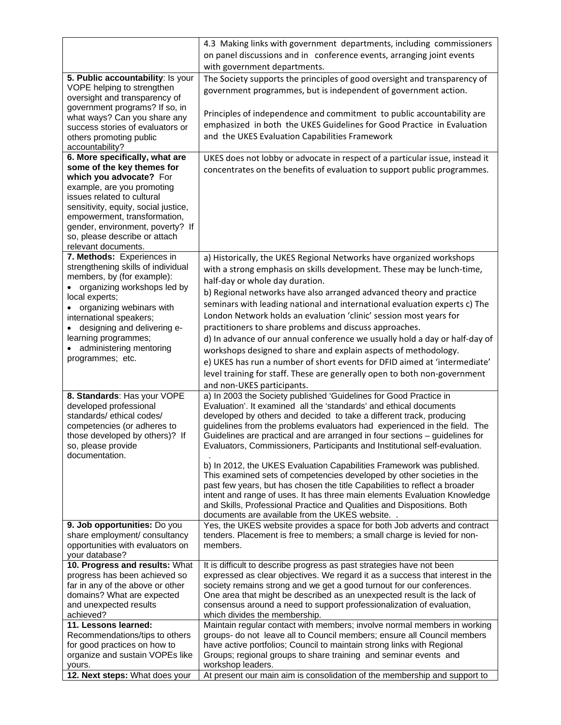|                                                                      | 4.3 Making links with government departments, including commissioners<br>on panel discussions and in conference events, arranging joint events<br>with government departments. |
|----------------------------------------------------------------------|--------------------------------------------------------------------------------------------------------------------------------------------------------------------------------|
| 5. Public accountability: Is your                                    | The Society supports the principles of good oversight and transparency of                                                                                                      |
| VOPE helping to strengthen                                           | government programmes, but is independent of government action.                                                                                                                |
| oversight and transparency of                                        |                                                                                                                                                                                |
| government programs? If so, in                                       |                                                                                                                                                                                |
| what ways? Can you share any                                         | Principles of independence and commitment to public accountability are                                                                                                         |
| success stories of evaluators or                                     | emphasized in both the UKES Guidelines for Good Practice in Evaluation                                                                                                         |
| others promoting public                                              | and the UKES Evaluation Capabilities Framework                                                                                                                                 |
| accountability?                                                      |                                                                                                                                                                                |
| 6. More specifically, what are                                       | UKES does not lobby or advocate in respect of a particular issue, instead it                                                                                                   |
| some of the key themes for                                           | concentrates on the benefits of evaluation to support public programmes.                                                                                                       |
| which you advocate? For                                              |                                                                                                                                                                                |
| example, are you promoting                                           |                                                                                                                                                                                |
| issues related to cultural                                           |                                                                                                                                                                                |
| sensitivity, equity, social justice,<br>empowerment, transformation, |                                                                                                                                                                                |
| gender, environment, poverty? If                                     |                                                                                                                                                                                |
| so, please describe or attach                                        |                                                                                                                                                                                |
| relevant documents.                                                  |                                                                                                                                                                                |
| 7. Methods: Experiences in                                           | a) Historically, the UKES Regional Networks have organized workshops                                                                                                           |
| strengthening skills of individual                                   | with a strong emphasis on skills development. These may be lunch-time,                                                                                                         |
| members, by (for example):                                           |                                                                                                                                                                                |
| • organizing workshops led by                                        | half-day or whole day duration.                                                                                                                                                |
| local experts;                                                       | b) Regional networks have also arranged advanced theory and practice                                                                                                           |
| organizing webinars with                                             | seminars with leading national and international evaluation experts c) The                                                                                                     |
| international speakers;                                              | London Network holds an evaluation 'clinic' session most years for                                                                                                             |
| designing and delivering e-                                          | practitioners to share problems and discuss approaches.                                                                                                                        |
| learning programmes;                                                 | d) In advance of our annual conference we usually hold a day or half-day of                                                                                                    |
| administering mentoring                                              | workshops designed to share and explain aspects of methodology.                                                                                                                |
| programmes; etc.                                                     | e) UKES has run a number of short events for DFID aimed at 'intermediate'                                                                                                      |
|                                                                      | level training for staff. These are generally open to both non-government                                                                                                      |
|                                                                      | and non-UKES participants.                                                                                                                                                     |
| 8. Standards: Has your VOPE                                          | a) In 2003 the Society published 'Guidelines for Good Practice in                                                                                                              |
| developed professional                                               | Evaluation'. It examined all the 'standards' and ethical documents                                                                                                             |
| standards/ethical codes/                                             | developed by others and decided to take a different track, producing                                                                                                           |
| competencies (or adheres to                                          | guidelines from the problems evaluators had experienced in the field. The                                                                                                      |
| those developed by others)? If                                       | Guidelines are practical and are arranged in four sections - guidelines for                                                                                                    |
| so, please provide                                                   | Evaluators, Commissioners, Participants and Institutional self-evaluation.                                                                                                     |
| documentation.                                                       |                                                                                                                                                                                |
|                                                                      | b) In 2012, the UKES Evaluation Capabilities Framework was published.                                                                                                          |
|                                                                      | This examined sets of competencies developed by other societies in the                                                                                                         |
|                                                                      | past few years, but has chosen the title Capabilities to reflect a broader                                                                                                     |
|                                                                      | intent and range of uses. It has three main elements Evaluation Knowledge                                                                                                      |
|                                                                      | and Skills, Professional Practice and Qualities and Dispositions. Both                                                                                                         |
|                                                                      | documents are available from the UKES website. .                                                                                                                               |
| 9. Job opportunities: Do you<br>share employment/ consultancy        | Yes, the UKES website provides a space for both Job adverts and contract<br>tenders. Placement is free to members; a small charge is levied for non-                           |
| opportunities with evaluators on                                     | members.                                                                                                                                                                       |
| your database?                                                       |                                                                                                                                                                                |
| 10. Progress and results: What                                       | It is difficult to describe progress as past strategies have not been                                                                                                          |
| progress has been achieved so                                        | expressed as clear objectives. We regard it as a success that interest in the                                                                                                  |
| far in any of the above or other                                     | society remains strong and we get a good turnout for our conferences.                                                                                                          |
| domains? What are expected                                           | One area that might be described as an unexpected result is the lack of                                                                                                        |
| and unexpected results                                               | consensus around a need to support professionalization of evaluation,                                                                                                          |
| achieved?                                                            | which divides the membership.                                                                                                                                                  |
| 11. Lessons learned:                                                 | Maintain regular contact with members; involve normal members in working                                                                                                       |
| Recommendations/tips to others                                       | groups- do not leave all to Council members; ensure all Council members                                                                                                        |
| for good practices on how to                                         | have active portfolios; Council to maintain strong links with Regional                                                                                                         |
| organize and sustain VOPEs like                                      | Groups; regional groups to share training and seminar events and                                                                                                               |
| yours.                                                               | workshop leaders.                                                                                                                                                              |
| 12. Next steps: What does your                                       | At present our main aim is consolidation of the membership and support to                                                                                                      |